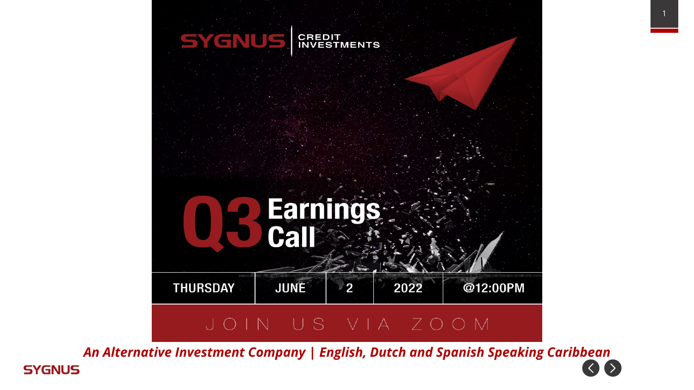

*An Alternative Investment Company | English, Dutch and Spanish Speaking Caribbean* $\langle \rangle$  $( )$ **SYGNUS**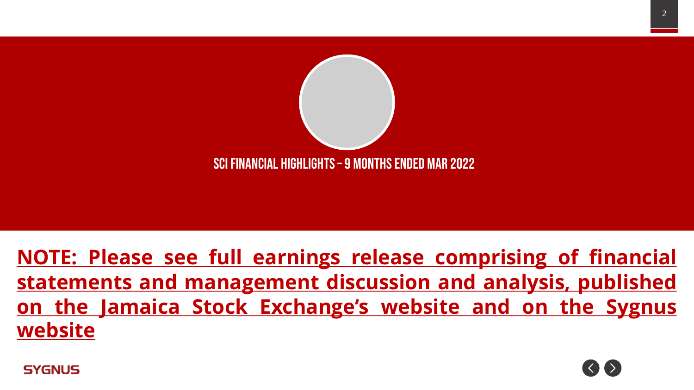

**NOTE: Please see full earnings release comprising of financial statements and management discussion and analysis, published on the Jamaica Stock Exchange's website and on the Sygnus website**

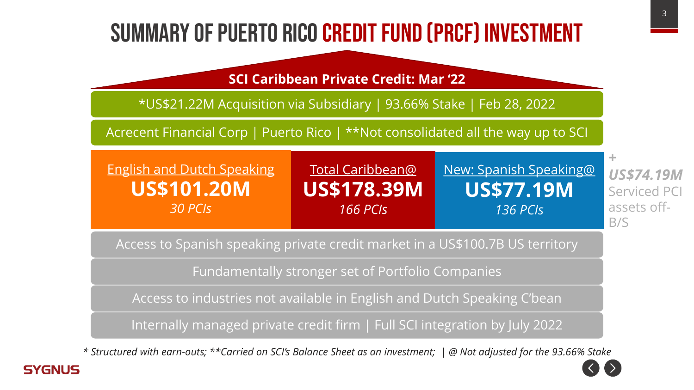### Summary of Puerto rico credit fund (PRCF) investment

**SCI Caribbean Private Credit: Mar '22**

\*US\$21.22M Acquisition via Subsidiary | 93.66% Stake | Feb 28, 2022

Acrecent Financial Corp | Puerto Rico | \*\*Not consolidated all the way up to SCI

| <b>English and Dutch Speaking</b> | Total Caribbean@                | <u>New: Spanish Speaking@</u> |  |  |
|-----------------------------------|---------------------------------|-------------------------------|--|--|
| <b>US\$101.20M</b>                | <b>US\$178.39M</b>              | <b>US\$77.19M</b>             |  |  |
| $30$ PCIs                         | 166 PC $\overline{\phantom{a}}$ | $136$ PCIs                    |  |  |

*US\$74.19M* Serviced PCI assets off-B/S

*+* 

Access to Spanish speaking private credit market in a US\$100.7B US territory

Fundamentally stronger set of Portfolio Companies

Access to industries not available in English and Dutch Speaking C'bean

Internally managed private credit firm | Full SCI integration by July 2022

*\* Structured with earn-outs; \*\*Carried on SCI's Balance Sheet as an investment; | @ Not adjusted for the 93.66% Stake*



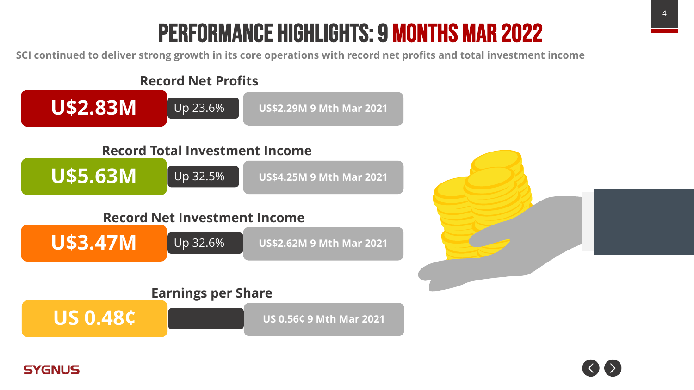### Performance Highlights: 9 months mar 2022

**SCI continued to deliver strong growth in its core operations with record net profits and total investment income**



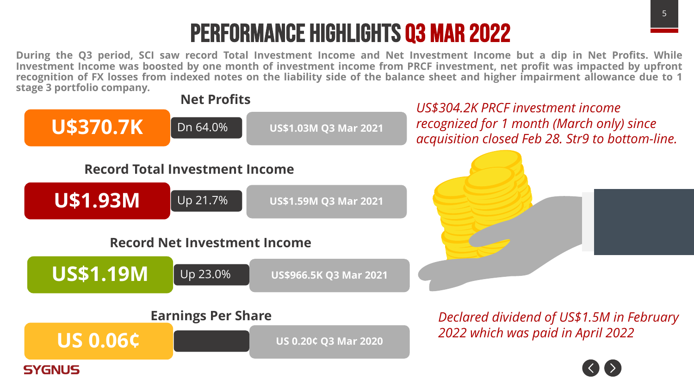### Performance Highlights q3 mar 2022

During the Q3 period, SCI saw record Total Investment Income and Net Investment Income but a dip in Net Profits. While Investment Income was boosted by one month of investment income from PRCF investment, net profit was impacted by upfront recognition of FX losses from indexed notes on the liability side of the balance sheet and higher impairment allowance due to 1 **stage 3 portfolio company.**

**Net Profits**

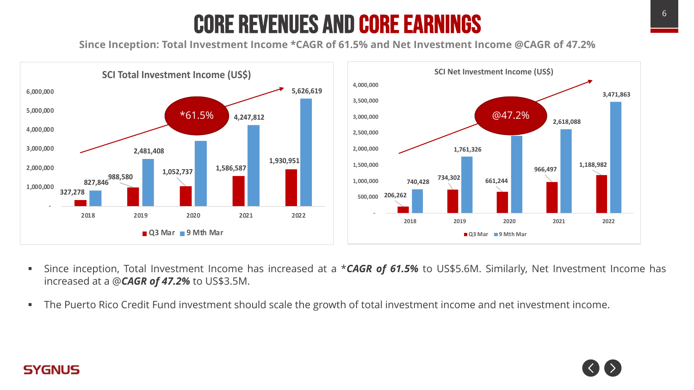### Core Revenues and Core Earnings

**Since Inception: Total Investment Income \*CAGR of 61.5% and Net Investment Income @CAGR of 47.2%**



- § Since inception, Total Investment Income has increased at a \**CAGR of 61.5%* to US\$5.6M. Similarly, Net Investment Income has increased at a @*CAGR of 47.2%* to US\$3.5M.
- § The Puerto Rico Credit Fund investment should scale the growth of total investment income and net investment income.

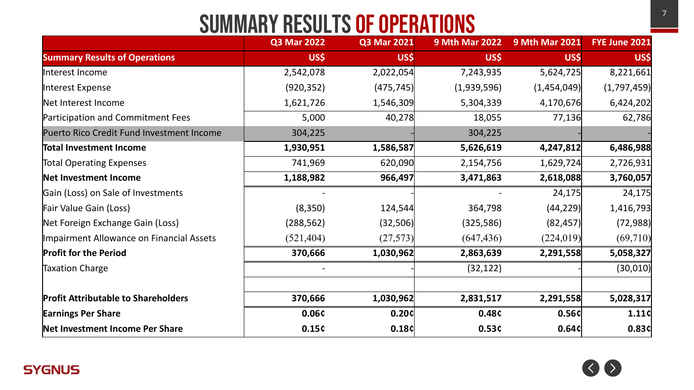### Summary Results of operations

|                                            | <b>Q3 Mar 2022</b> | <b>Q3 Mar 2021</b> | <b>9 Mth Mar 2022</b> | <b>9 Mth Mar 2021</b> | FYE June 2021 |
|--------------------------------------------|--------------------|--------------------|-----------------------|-----------------------|---------------|
| <b>Summary Results of Operations</b>       | US\$               | US\$               | US\$                  | US\$                  | US\$          |
| Interest Income                            | 2,542,078          | 2,022,054          | 7,243,935             | 5,624,725             | 8,221,661     |
| Interest Expense                           | (920, 352)         | (475, 745)         | (1,939,596)           | (1,454,049)           | (1,797,459)   |
| Net Interest Income                        | 1,621,726          | 1,546,309          | 5,304,339             | 4,170,676             | 6,424,202     |
| Participation and Commitment Fees          | 5,000              | 40,278             | 18,055                | 77,136                | 62,786        |
| Puerto Rico Credit Fund Investment Income  | 304,225            |                    | 304,225               |                       |               |
| Total Investment Income                    | 1,930,951          | 1,586,587          | 5,626,619             | 4,247,812             | 6,486,988     |
| <b>Total Operating Expenses</b>            | 741,969            | 620,090            | 2,154,756             | 1,629,724             | 2,726,931     |
| Net Investment Income                      | 1,188,982          | 966,497            | 3,471,863             | 2,618,088             | 3,760,057     |
| Gain (Loss) on Sale of Investments         |                    |                    |                       | 24,175                | 24,175        |
| Fair Value Gain (Loss)                     | (8,350)            | 124,544            | 364,798               | (44, 229)             | 1,416,793     |
| Net Foreign Exchange Gain (Loss)           | (288, 562)         | (32,506)           | (325, 586)            | (82, 457)             | (72,988)      |
| Impairment Allowance on Financial Assets   | (521, 404)         | (27,573)           | (647, 436)            | (224, 019)            | (69,710)      |
| <b>Profit for the Period</b>               | 370,666            | 1,030,962          | 2,863,639             | 2,291,558             | 5,058,327     |
| <b>Taxation Charge</b>                     |                    |                    | (32, 122)             |                       | (30,010)      |
|                                            |                    |                    |                       |                       |               |
| <b>Profit Attributable to Shareholders</b> | 370,666            | 1,030,962          | 2,831,517             | 2,291,558             | 5,028,317     |
| <b>Earnings Per Share</b>                  | 0.06¢              | 0.20c              | 0.48¢                 | 0.56c                 | 1.11c         |
| Net Investment Income Per Share            | 0.15c              | 0.18c              | 0.53c                 | 0.64c                 | 0.83c         |



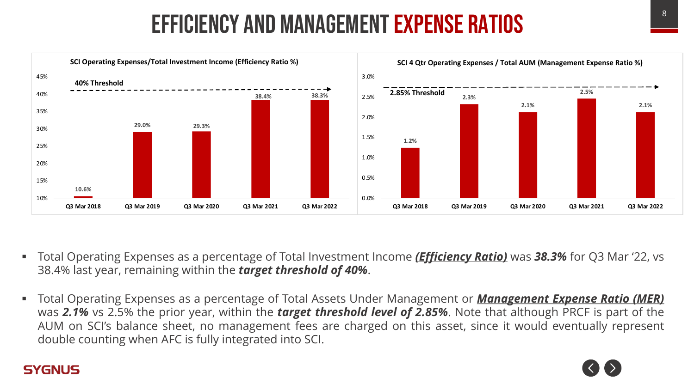### Efficiency and management expense ratios



- § Total Operating Expenses as a percentage of Total Investment Income *(Efficiency Ratio)* was *38.3%* for Q3 Mar '22, vs 38.4% last year, remaining within the *target threshold of 40%*.
- § Total Operating Expenses as a percentage of Total Assets Under Management or *Management Expense Ratio (MER)* was *2.1%* vs 2.5% the prior year, within the *target threshold level of 2.85%*. Note that although PRCF is part of the AUM on SCI's balance sheet, no management fees are charged on this asset, since it would eventually represent double counting when AFC is fully integrated into SCI.

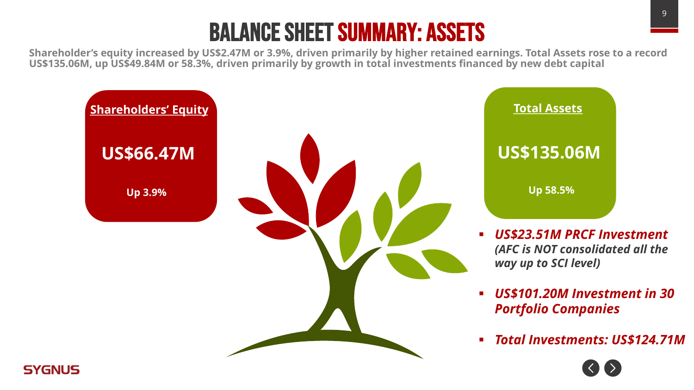### Balance Sheet Summary: Assets

**Shareholder's equity increased by US\$2.47M or 3.9%, driven primarily by higher retained earnings. Total Assets rose to a record US\$135.06M, up US\$49.84M or 58.3%, driven primarily by growth in total investments financed by new debt capital**

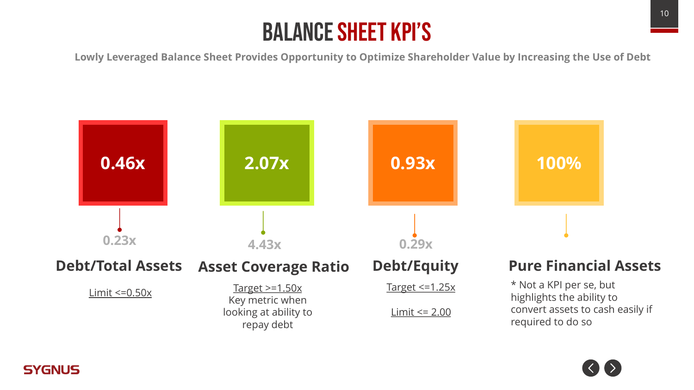### Balance sheet KPI's

**Lowly Leveraged Balance Sheet Provides Opportunity to Optimize Shareholder Value by Increasing the Use of Debt**



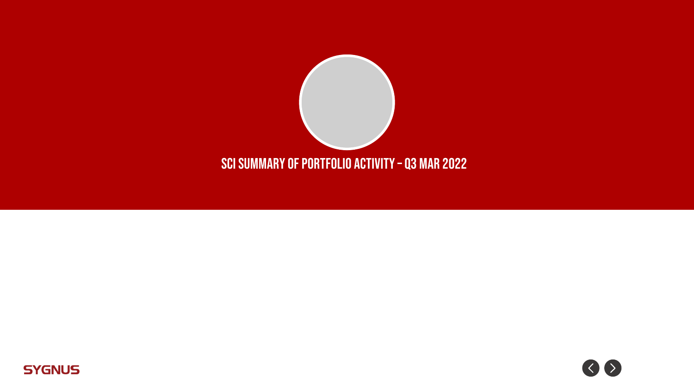



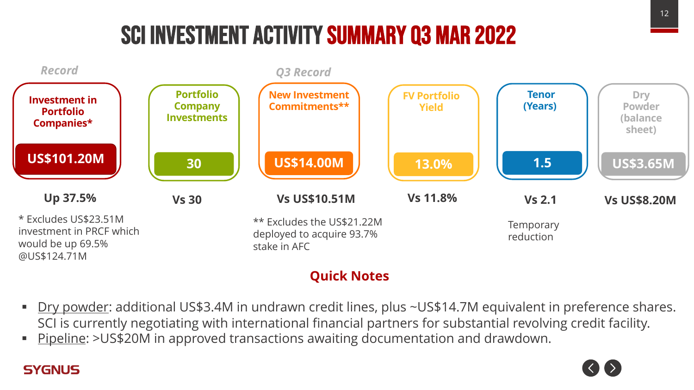### SCI Investment Activity Summary Q3 mar 2022



### **Quick Notes**

- § Dry powder: additional US\$3.4M in undrawn credit lines, plus ~US\$14.7M equivalent in preference shares. SCI is currently negotiating with international financial partners for substantial revolving credit facility.
- Pipeline: >US\$20M in approved transactions awaiting documentation and drawdown.

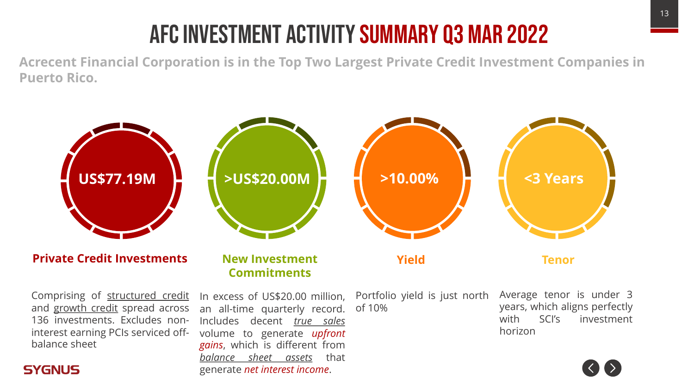# AFC investment activity summary q3 Mar 2022

**Acrecent Financial Corporation is in the Top Two Largest Private Credit Investment Companies in Puerto Rico.** 

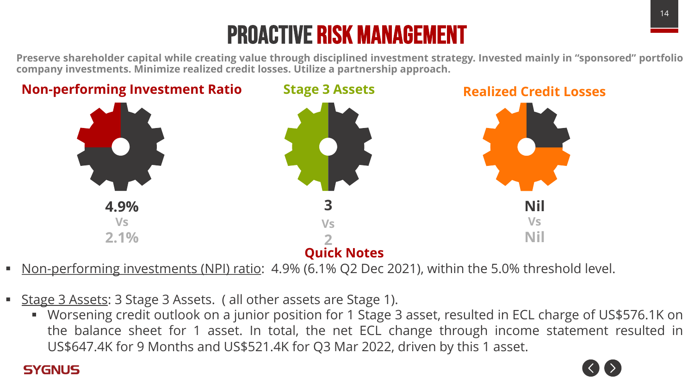# PROACTIVE RISK MANAGEMENT

Preserve shareholder capital while creating value through disciplined investment strategy. Invested mainly in "sponsored" portfolio **company investments. Minimize realized credit losses. Utilize a partnership approach.**



- § Non-performing investments (NPI) ratio: 4.9% (6.1% Q2 Dec 2021), within the 5.0% threshold level.
- Stage 3 Assets: 3 Stage 3 Assets. ( all other assets are Stage 1).
	- § Worsening credit outlook on a junior position for 1 Stage 3 asset, resulted in ECL charge of US\$576.1K on the balance sheet for 1 asset. In total, the net ECL change through income statement resulted in US\$647.4K for 9 Months and US\$521.4K for Q3 Mar 2022, driven by this 1 asset.

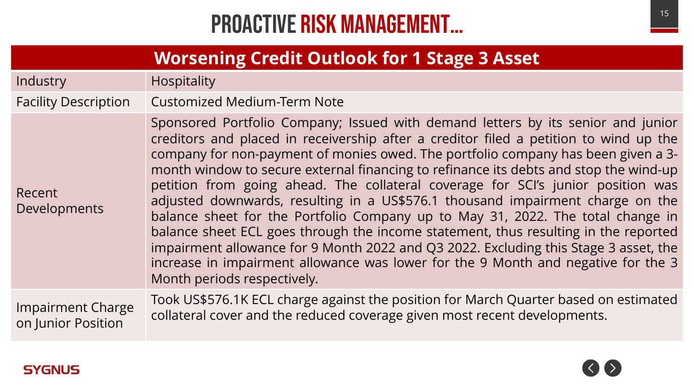### **PROACTIVE RISK MANAGEMENT…** The station of the station of the station of the station of the station of the station of the station of the station of the station of the station of the station of the station of the station o

### **Worsening Credit Outlook for 1 Stage 3 Asset**

Industry **Hospitality** 

Facility Description Customized Medium-Term Note

Developments Sponsored Portfolio Company; Issued with demand letters by its senior and junior creditors and placed in receivership after a creditor filed a petition to wind up the company for non-payment of monies owed. The portfolio company has been given a 3 month window to secure external financing to refinance its debts and stop the wind-up petition from going ahead. The collateral coverage for SCI's junior position was adjusted downwards, resulting in a US\$576.1 thousand impairment charge on the balance sheet for the Portfolio Company up to May 31, 2022. The total change in balance sheet ECL goes through the income statement, thus resulting in the reported impairment allowance for 9 Month 2022 and Q3 2022. Excluding this Stage 3 asset, the increase in impairment allowance was lower for the 9 Month and negative for the 3 Month periods respectively.

Impairment Charge on Junior Position

Took US\$576.1K ECL charge against the position for March Quarter based on estimated collateral cover and the reduced coverage given most recent developments.



Recent

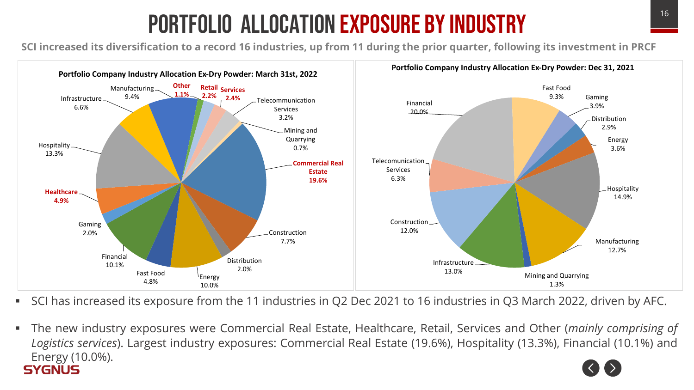## Portfolio allocation exposure by industry

SCI increased its diversification to a record 16 industries, up from 11 during the prior quarter, following its investment in PRCF



- § SCI has increased its exposure from the 11 industries in Q2 Dec 2021 to 16 industries in Q3 March 2022, driven by AFC.
- § The new industry exposures were Commercial Real Estate, Healthcare, Retail, Services and Other (*mainly comprising of Logistics services*). Largest industry exposures: Commercial Real Estate (19.6%), Hospitality (13.3%), Financial (10.1%) and Energy (10.0%). **SYGNUS**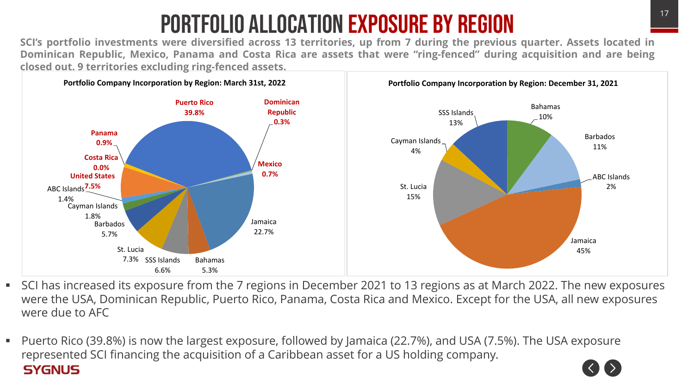# <sup>17</sup> Portfolio allocation exposure by Region

SCI's portfolio investments were diversified across 13 territories, up from 7 during the previous quarter. Assets located in Dominican Republic, Mexico, Panama and Costa Rica are assets that were "ring-fenced" during acquisition and are being **closed out. 9 territories excluding ring-fenced assets.**



- SCI has increased its exposure from the 7 regions in December 2021 to 13 regions as at March 2022. The new exposures were the USA, Dominican Republic, Puerto Rico, Panama, Costa Rica and Mexico. Except for the USA, all new exposures were due to AFC
- Puerto Rico (39.8%) is now the largest exposure, followed by Jamaica (22.7%), and USA (7.5%). The USA exposure represented SCI financing the acquisition of a Caribbean asset for a US holding company. **SYGNUS**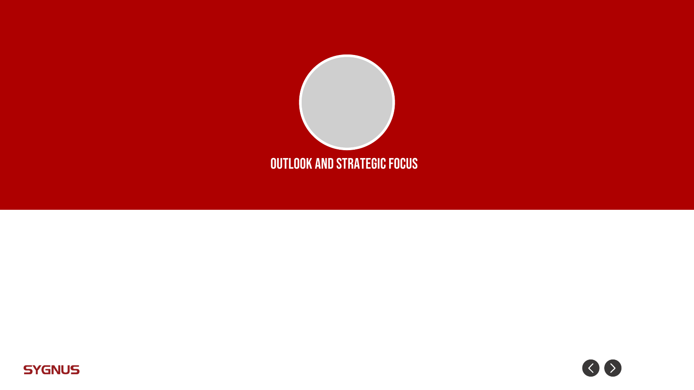